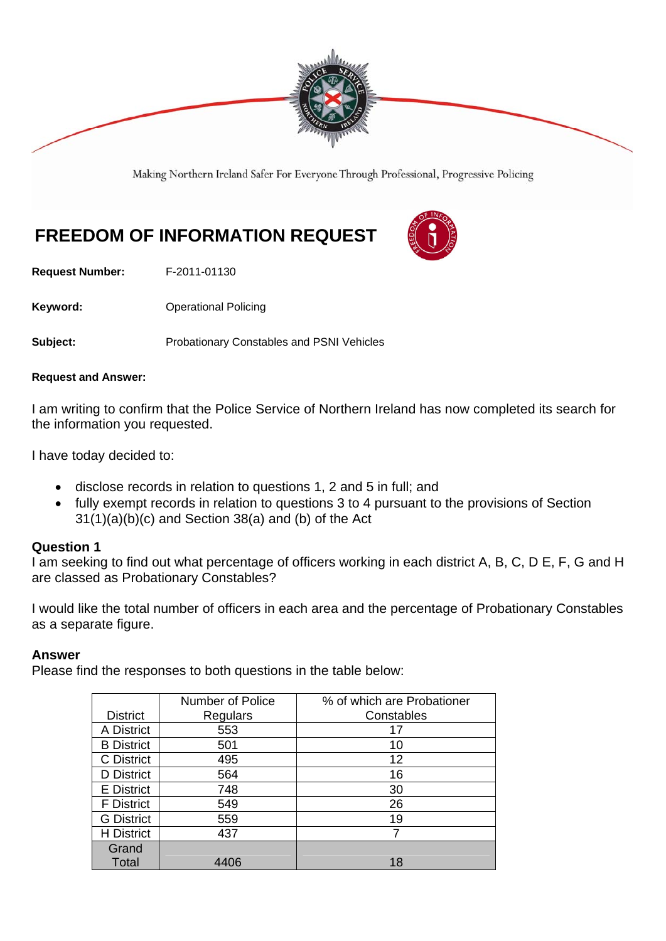

Making Northern Ireland Safer For Everyone Through Professional, Progressive Policing

# **FREEDOM OF INFORMATION REQUEST**

**Request Number:** F-2011-01130

**Keyword: Conservery Operational Policing** 

**Subject:** Probationary Constables and PSNI Vehicles

#### **Request and Answer:**

I am writing to confirm that the Police Service of Northern Ireland has now completed its search for the information you requested.

I have today decided to:

- disclose records in relation to questions 1, 2 and 5 in full; and
- fully exempt records in relation to questions 3 to 4 pursuant to the provisions of Section 31(1)(a)(b)(c) and Section 38(a) and (b) of the Act

#### **Question 1**

I am seeking to find out what percentage of officers working in each district A, B, C, D E, F, G and H are classed as Probationary Constables?

I would like the total number of officers in each area and the percentage of Probationary Constables as a separate figure.

## **Answer**

Please find the responses to both questions in the table below:

|                   | <b>Number of Police</b> | % of which are Probationer |
|-------------------|-------------------------|----------------------------|
| <b>District</b>   | Regulars                | Constables                 |
| A District        | 553                     | 17                         |
| <b>B</b> District | 501                     | 10                         |
| C District        | 495                     | 12                         |
| D District        | 564                     | 16                         |
| <b>E</b> District | 748                     | 30                         |
| <b>F</b> District | 549                     | 26                         |
| <b>G</b> District | 559                     | 19                         |
| <b>H</b> District | 437                     | 7                          |
| Grand             |                         |                            |
| Total             | 4406                    | 18                         |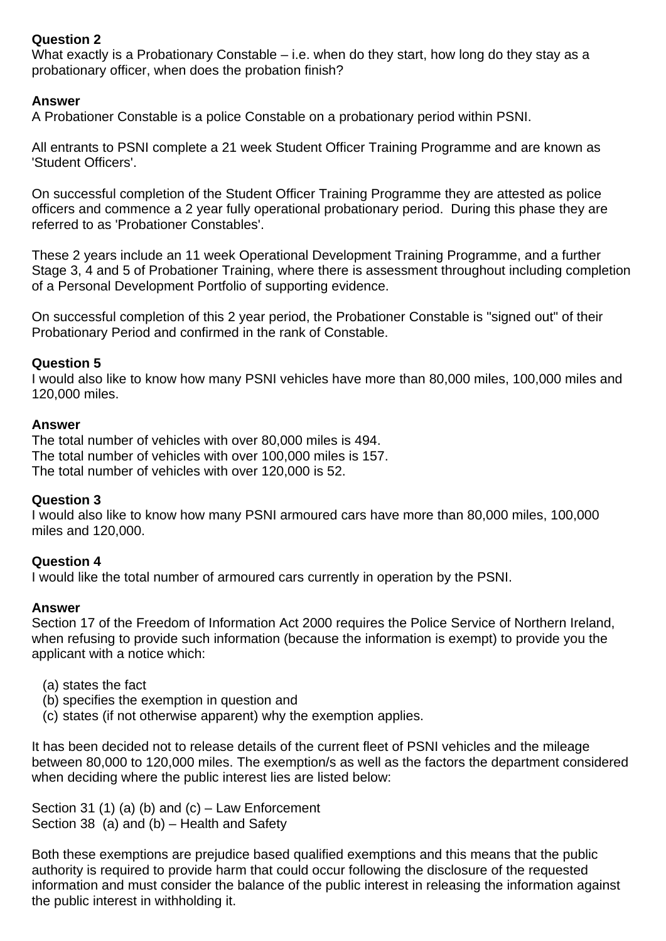## **Question 2**

What exactly is a Probationary Constable – i.e. when do they start, how long do they stay as a probationary officer, when does the probation finish?

## **Answer**

A Probationer Constable is a police Constable on a probationary period within PSNI.

All entrants to PSNI complete a 21 week Student Officer Training Programme and are known as 'Student Officers'.

On successful completion of the Student Officer Training Programme they are attested as police officers and commence a 2 year fully operational probationary period. During this phase they are referred to as 'Probationer Constables'.

These 2 years include an 11 week Operational Development Training Programme, and a further Stage 3, 4 and 5 of Probationer Training, where there is assessment throughout including completion of a Personal Development Portfolio of supporting evidence.

On successful completion of this 2 year period, the Probationer Constable is "signed out" of their Probationary Period and confirmed in the rank of Constable.

## **Question 5**

I would also like to know how many PSNI vehicles have more than 80,000 miles, 100,000 miles and 120,000 miles.

## **Answer**

The total number of vehicles with over 80,000 miles is 494. The total number of vehicles with over 100,000 miles is 157. The total number of vehicles with over 120,000 is 52.

## **Question 3**

I would also like to know how many PSNI armoured cars have more than 80,000 miles, 100,000 miles and 120,000.

## **Question 4**

I would like the total number of armoured cars currently in operation by the PSNI.

## **Answer**

Section 17 of the Freedom of Information Act 2000 requires the Police Service of Northern Ireland, when refusing to provide such information (because the information is exempt) to provide you the applicant with a notice which:

- (a) states the fact
- (b) specifies the exemption in question and
- (c) states (if not otherwise apparent) why the exemption applies.

It has been decided not to release details of the current fleet of PSNI vehicles and the mileage between 80,000 to 120,000 miles. The exemption/s as well as the factors the department considered when deciding where the public interest lies are listed below:

Section 31 (1) (a) (b) and  $(c)$  – Law Enforcement Section 38 (a) and (b) – Health and Safety

Both these exemptions are prejudice based qualified exemptions and this means that the public authority is required to provide harm that could occur following the disclosure of the requested information and must consider the balance of the public interest in releasing the information against the public interest in withholding it.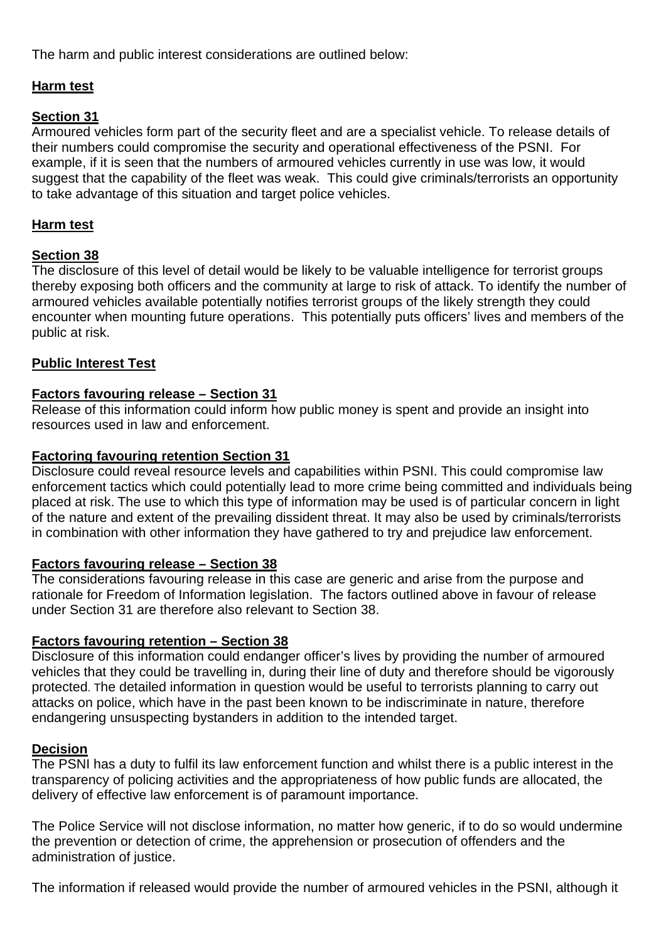The harm and public interest considerations are outlined below:

# **Harm test**

## **Section 31**

Armoured vehicles form part of the security fleet and are a specialist vehicle. To release details of their numbers could compromise the security and operational effectiveness of the PSNI. For example, if it is seen that the numbers of armoured vehicles currently in use was low, it would suggest that the capability of the fleet was weak. This could give criminals/terrorists an opportunity to take advantage of this situation and target police vehicles.

## **Harm test**

## **Section 38**

The disclosure of this level of detail would be likely to be valuable intelligence for terrorist groups thereby exposing both officers and the community at large to risk of attack. To identify the number of armoured vehicles available potentially notifies terrorist groups of the likely strength they could encounter when mounting future operations. This potentially puts officers' lives and members of the public at risk.

## **Public Interest Test**

## **Factors favouring release – Section 31**

Release of this information could inform how public money is spent and provide an insight into resources used in law and enforcement.

## **Factoring favouring retention Section 31**

Disclosure could reveal resource levels and capabilities within PSNI. This could compromise law enforcement tactics which could potentially lead to more crime being committed and individuals being placed at risk. The use to which this type of information may be used is of particular concern in light of the nature and extent of the prevailing dissident threat. It may also be used by criminals/terrorists in combination with other information they have gathered to try and prejudice law enforcement.

## **Factors favouring release – Section 38**

The considerations favouring release in this case are generic and arise from the purpose and rationale for Freedom of Information legislation. The factors outlined above in favour of release under Section 31 are therefore also relevant to Section 38.

## **Factors favouring retention – Section 38**

Disclosure of this information could endanger officer's lives by providing the number of armoured vehicles that they could be travelling in, during their line of duty and therefore should be vigorously protected. The detailed information in question would be useful to terrorists planning to carry out attacks on police, which have in the past been known to be indiscriminate in nature, therefore endangering unsuspecting bystanders in addition to the intended target.

## **Decision**

The PSNI has a duty to fulfil its law enforcement function and whilst there is a public interest in the transparency of policing activities and the appropriateness of how public funds are allocated, the delivery of effective law enforcement is of paramount importance.

The Police Service will not disclose information, no matter how generic, if to do so would undermine the prevention or detection of crime, the apprehension or prosecution of offenders and the administration of justice.

The information if released would provide the number of armoured vehicles in the PSNI, although it